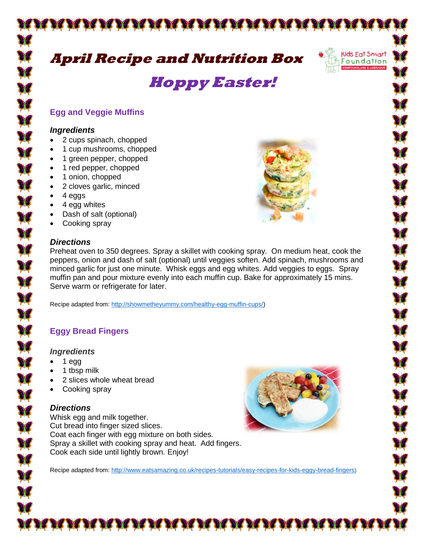Kids Eat Smart **April Recipe and Nutrition Box** Foundation

W

W

W

**REACTION** 

ØQ

W

大家

ØN

W

W

W

# **Hoppy Easter!**

## **Egg and Veggie Muffins**

#### *Ingredients*

- 2 cups spinach, chopped
- 1 cup mushrooms, chopped
- 1 green pepper, chopped
- 1 red pepper, chopped
- 1 onion, chopped
- 2 cloves garlic, minced
- $\bullet$  4 eggs
- 4 egg whites
- Dash of salt (optional)
- Cooking spray

## *Directions*



Preheat oven to 350 degrees. Spray a skillet with cooking spray. On medium heat, cook the peppers, onion and dash of salt (optional) until veggies soften. Add spinach, mushrooms and minced garlic for just one minute. Whisk eggs and egg whites. Add veggies to eggs. Spray muffin pan and pour mixture evenly into each muffin cup. Bake for approximately 15 mins. Serve warm or refrigerate for later.

Recipe adapted from[: http://showmetheyummy.com/healthy-egg-muffin-cups/\)](http://showmetheyummy.com/healthy-egg-muffin-cups/)

# **Eggy Bread Fingers**

## *Ingredients*

- $1 <sub>e</sub>$
- 1 tbsp milk
- 2 slices whole wheat bread
- Cooking spray

## *Directions*

Whisk egg and milk together. Cut bread into finger sized slices. Coat each finger with egg mixture on both sides. Spray a skillet with cooking spray and heat. Add fingers. Cook each side until lightly brown. Enjoy!



Recipe adapted from[: http://www.eatsamazing.co.uk/recipes-tutorials/easy-recipes-for-kids-eggy-bread-fingers](http://www.eatsamazing.co.uk/recipes-tutorials/easy-recipes-for-kids-eggy-bread-fingers))